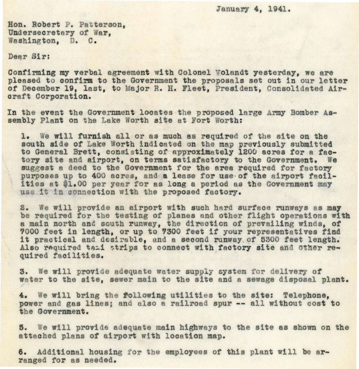January **4,** 1941.

Hon. Robert P. Patterson, Undersecretary of War,<br>Washington, D. C.

Dear Sir:

Confirming my verbal agreement with Colonel Volandt yesterday, we are pleased to confirm to the Government the proposals set out in our letter of December 19, last, to Major R. H. Fleet, President, Consolidated Aircraft Corporation.

In the event the Government locates the proposed large Army Bomber Assembly Plant on the Lake Worth site at Fort Worth:

1. We will furnish all or as much as required of the site on the south side *ot* Lake Worth indioated on the map previously submitted to General Brett, consisting of approximately 1200 acres for a factory site and airport, on terms satisfactory to the Government. We suggest a deed to the Government for the area required for factory purposes up to 400 acres, and a lease for use of the airport facil-<br>ities at \$1.00 per year for as long a period as the Government may use it in connection with the proposed factory.

2. We will provide an airport with such hard surface runways as may be required for the testing of planes and other flight operations with a main north and south runway, the direction of' prevailing winds, *ot*  7000 feet in length, or up to 7300 feet if your representatives find it practical and desirable, and a second runway of 5300 feet length. Also required taii strips to connect with factory site and other required facilities.

3. We will provide adequate water supply system for delivery of water to the site, sewer main to the site and a sewage disposal plant.

4. We will bring the following utilities to the site: Telephone, power and gas lines; and also a railroad spur -- all without cost to the Government.

5. We will provide adequate main highways to the site as shown on the attached plans of airport with location map.

6. Additional housing for the employees of this plant will be arranged for as needed.